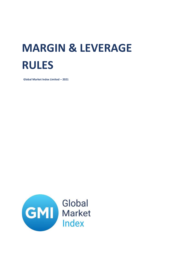# **MARGIN & LEVERAGE RULES**

**Global Market Index Limited – 2021**

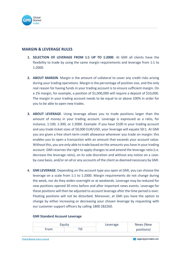

# **MARGIN & LEVERAGE RULES**

- **1. SELECTION OF LEVERAGE FROM 1:1 UP TO 1:2000**. At GMI all clients have the flexibility to trade by using the same margin requirements and leverage from 1:1 to 1:2000.
- **2. ABOUT MARGIN**. Margin is the amount of collateral to cover any credit risks arising during your trading operations. Margin is the percentage of position size, and the only real reason for having funds in your trading account is to ensure sufficient margin. On a 1% margin, for example, a position of \$1,000,000 will require a deposit of \$10,000. The margin in your trading account needs to be equal to or above 100% in order for you to be able to open new trades.
- **3. ABOUT LEVERAGE**. Using leverage allows you to trade positions larger than the amount of money in your trading account. Leverage is expressed as a ratio, for instance, 1:100, 1:300, or 1:2000. Example: If you have \$100 in your trading account and you trade ticket sizes of 50,000 EUR/USD, your leverage will equate 50:1. At GMI you are given a free short-term credit allowance whenever you trade on margin: this enables you to open a transaction with an amount that exceeds your account value. Without this, you are only able to trade based on the amounts you have in your trading account. GMI reserves the right to apply changes to and amend the leverage ratio (i.e. decrease the leverage ratio), on its sole discretion and without any notice on a caseby-case basis, and/or on all or any accounts of the client as deemed necessary by GMI.
- **4. GMI LEVERAGE**. Depending on the account type you open at GMI, you can choose the leverage on a scale from 1:1 to 1:2000. Margin requirements do not change during the week, nor do they widen overnight or at weekends. Leverage may be reduced for new positions opened 30 mins before and after important news events. Leverage for these positions will then be adjusted to account leverage after the time period is over. Floating positions will not be disturbed. Moreover, at GMI you have the option to change by either increasing or decreasing your chosen leverage by requesting with our customer support officers by calling 1800 282260.

#### **GMI Standard Account Leverage**

| Equity |  | Leverage | News (New  |
|--------|--|----------|------------|
| From   |  |          | positions) |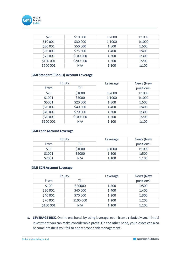

| \$25      | \$10 000  | 1:2000 | 1:1000 |
|-----------|-----------|--------|--------|
| \$10 001  | \$30 000  | 1:1000 | 1:1000 |
| \$30 001  | \$50 000  | 1:500  | 1:500  |
| \$50 001  | \$75 000  | 1:400  | 1:400  |
| \$75 001  | \$100 000 | 1:300  | 1:300  |
| \$100 001 | \$200 000 | 1:200  | 1:200  |
| \$200 001 | N/A       | 1:100  | 1:100  |

## **GMI Standard (Bonus) Account Leverage**

| Equity    |           | Leverage | News (New  |
|-----------|-----------|----------|------------|
| From      | Till      |          | positions) |
| \$25      | \$1000    | 1:2000   | 1:1000     |
| \$1001    | \$5000    | 1:1000   | 1:1000     |
| \$5001    | \$20 000  | 1:500    | 1:500      |
| \$20 001  | \$40 000  | 1:400    | 1:400      |
| \$40 001  | \$70 000  | 1:300    | 1:300      |
| \$70 001  | \$100 000 | 1:200    | 1:200      |
| \$100 001 | N/A       | 1:100    | 1:100      |

### **GMI Cent Account Leverage**

| Equity |        | Leverage | News (New  |
|--------|--------|----------|------------|
| From   | Till   |          | positions) |
| \$15   | \$1000 | 1:1000   | 1:1000     |
| \$1001 | \$2000 | 1:500    | 1:500      |
| \$2001 | N/A    | 1:100    | 1:100      |

### **GMI ECN Account Leverage**

| Equity    |           | Leverage | News (New  |
|-----------|-----------|----------|------------|
| From      | Till      |          | positions) |
| \$100     | \$20000   | 1:500    | 1:500      |
| \$20 001  | \$40 000  | 1:400    | 1:400      |
| \$40 001  | \$70 000  | 1:300    | 1:300      |
| \$70 001  | \$100 000 | 1:200    | 1:200      |
| \$100 001 | N/A       | 1:100    | 1:100      |

**5. LEVERAGE RISK**. On the one hand, by using leverage, even from a relatively small initial investment you can make considerable profit. On the other hand, your losses can also become drastic if you fail to apply proper risk management.